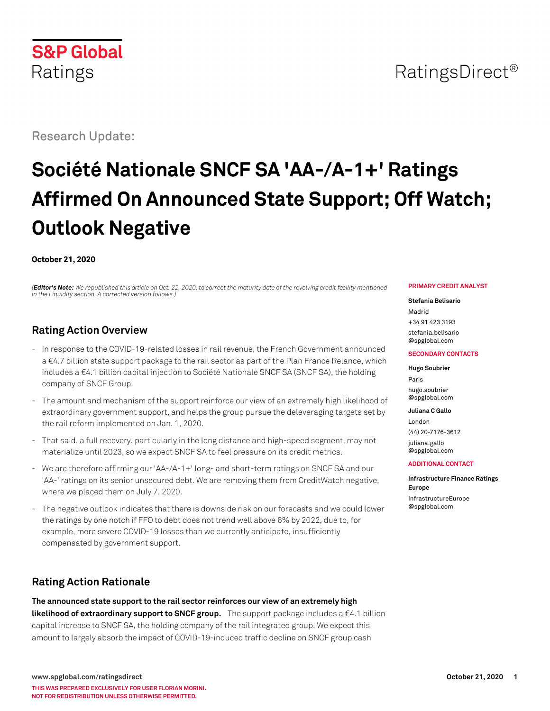# Research Update:

# **Société Nationale SNCF SA 'AA-/A-1+' Ratings Affirmed On Announced State Support; Off Watch; Outlook Negative**

#### **October 21, 2020**

*(Editor's Note: We republished this article on Oct. 22, 2020, to correct the maturity date of the revolving credit facility mentioned in the Liquidity section. A corrected version follows.)*

### **Rating Action Overview**

- In response to the COVID-19-related losses in rail revenue, the French Government announced a €4.7 billion state support package to the rail sector as part of the Plan France Relance, which includes a €4.1 billion capital injection to Société Nationale SNCF SA (SNCF SA), the holding company of SNCF Group.
- The amount and mechanism of the support reinforce our view of an extremely high likelihood of extraordinary government support, and helps the group pursue the deleveraging targets set by the rail reform implemented on Jan. 1, 2020.
- That said, a full recovery, particularly in the long distance and high-speed segment, may not materialize until 2023, so we expect SNCF SA to feel pressure on its credit metrics.
- We are therefore affirming our 'AA-/A-1+' long- and short-term ratings on SNCF SA and our 'AA-' ratings on its senior unsecured debt. We are removing them from CreditWatch negative, where we placed them on July 7, 2020.
- The negative outlook indicates that there is downside risk on our forecasts and we could lower the ratings by one notch if FFO to debt does not trend well above 6% by 2022, due to, for example, more severe COVID-19 losses than we currently anticipate, insufficiently compensated by government support.

## **Rating Action Rationale**

**The announced state support to the rail sector reinforces our view of an extremely high likelihood of extraordinary support to SNCF group.** The support package includes a €4.1 billion capital increase to SNCF SA, the holding company of the rail integrated group. We expect this amount to largely absorb the impact of COVID-19-induced traffic decline on SNCF group cash

#### **PRIMARY CREDIT ANALYST**

#### **Stefania Belisario**

Madrid +34 91 423 3193 [stefania.belisario](mailto:stefania.belisario@spglobal.com) [@spglobal.com](mailto:stefania.belisario@spglobal.com)

#### **SECONDARY CONTACTS**

**Hugo Soubrier** Paris [hugo.soubrier](mailto:hugo.soubrier@spglobal.com) [@spglobal.com](mailto:hugo.soubrier@spglobal.com)

**Juliana C Gallo**

London (44) 20-7176-3612 [juliana.gallo](mailto:juliana.gallo@spglobal.com) [@spglobal.com](mailto:juliana.gallo@spglobal.com)

#### **ADDITIONAL CONTACT**

**Infrastructure Finance Ratings Europe** [InfrastructureEurope](mailto:InfrastructureEurope@spglobal.com) [@spglobal.com](mailto:InfrastructureEurope@spglobal.com)

# **S&P Global** Ratings

# RatingsDirect<sup>®</sup>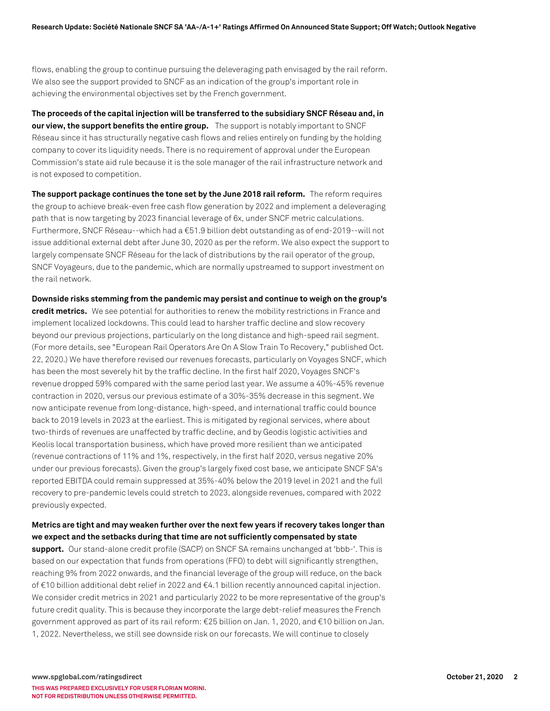flows, enabling the group to continue pursuing the deleveraging path envisaged by the rail reform. We also see the support provided to SNCF as an indication of the group's important role in achieving the environmental objectives set by the French government.

**The proceeds of the capital injection will be transferred to the subsidiary SNCF Réseau and, in our view, the support benefits the entire group.** The support is notably important to SNCF Réseau since it has structurally negative cash flows and relies entirely on funding by the holding company to cover its liquidity needs. There is no requirement of approval under the European Commission's state aid rule because it is the sole manager of the rail infrastructure network and is not exposed to competition.

**The support package continues the tone set by the June 2018 rail reform.** The reform requires the group to achieve break-even free cash flow generation by 2022 and implement a deleveraging path that is now targeting by 2023 financial leverage of 6x, under SNCF metric calculations. Furthermore, SNCF Réseau--which had a €51.9 billion debt outstanding as of end-2019--will not issue additional external debt after June 30, 2020 as per the reform. We also expect the support to largely compensate SNCF Réseau for the lack of distributions by the rail operator of the group, SNCF Voyageurs, due to the pandemic, which are normally upstreamed to support investment on the rail network.

**Downside risks stemming from the pandemic may persist and continue to weigh on the group's credit metrics.** We see potential for authorities to renew the mobility restrictions in France and implement localized lockdowns. This could lead to harsher traffic decline and slow recovery beyond our previous projections, particularly on the long distance and high-speed rail segment. (For more details, see "European Rail Operators Are On A Slow Train To Recovery," published Oct. 22, 2020.) We have therefore revised our revenues forecasts, particularly on Voyages SNCF, which has been the most severely hit by the traffic decline. In the first half 2020, Voyages SNCF's revenue dropped 59% compared with the same period last year. We assume a 40%-45% revenue contraction in 2020, versus our previous estimate of a 30%-35% decrease in this segment. We now anticipate revenue from long-distance, high-speed, and international traffic could bounce back to 2019 levels in 2023 at the earliest. This is mitigated by regional services, where about two-thirds of revenues are unaffected by traffic decline, and by Geodis logistic activities and Keolis local transportation business, which have proved more resilient than we anticipated (revenue contractions of 11% and 1%, respectively, in the first half 2020, versus negative 20% under our previous forecasts). Given the group's largely fixed cost base, we anticipate SNCF SA's reported EBITDA could remain suppressed at 35%-40% below the 2019 level in 2021 and the full recovery to pre-pandemic levels could stretch to 2023, alongside revenues, compared with 2022 previously expected.

#### **Metrics are tight and may weaken further over the next few years if recovery takes longer than we expect and the setbacks during that time are not sufficiently compensated by state**

support. Our stand-alone credit profile (SACP) on SNCF SA remains unchanged at 'bbb-'. This is based on our expectation that funds from operations (FFO) to debt will significantly strengthen, reaching 9% from 2022 onwards, and the financial leverage of the group will reduce, on the back of €10 billion additional debt relief in 2022 and €4.1 billion recently announced capital injection. We consider credit metrics in 2021 and particularly 2022 to be more representative of the group's future credit quality. This is because they incorporate the large debt-relief measures the French government approved as part of its rail reform: €25 billion on Jan. 1, 2020, and €10 billion on Jan. 1, 2022. Nevertheless, we still see downside risk on our forecasts. We will continue to closely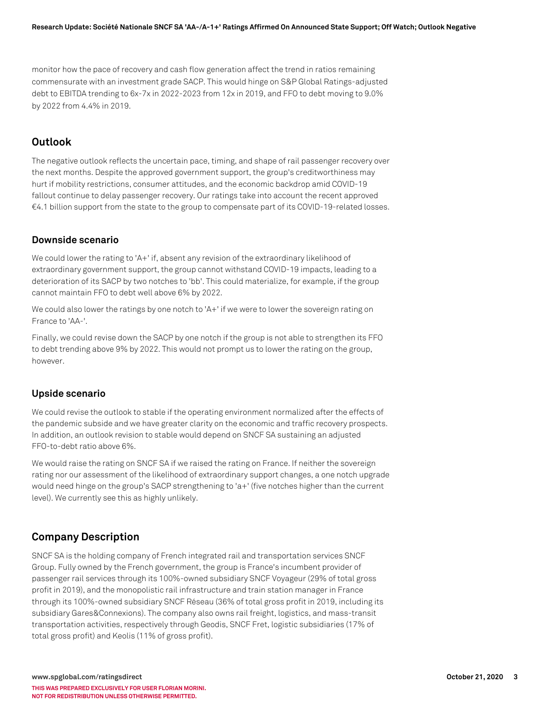monitor how the pace of recovery and cash flow generation affect the trend in ratios remaining commensurate with an investment grade SACP. This would hinge on S&P Global Ratings-adjusted debt to EBITDA trending to 6x-7x in 2022-2023 from 12x in 2019, and FFO to debt moving to 9.0% by 2022 from 4.4% in 2019.

#### **Outlook**

The negative outlook reflects the uncertain pace, timing, and shape of rail passenger recovery over the next months. Despite the approved government support, the group's creditworthiness may hurt if mobility restrictions, consumer attitudes, and the economic backdrop amid COVID-19 fallout continue to delay passenger recovery. Our ratings take into account the recent approved €4.1 billion support from the state to the group to compensate part of its COVID-19-related losses.

#### **Downside scenario**

We could lower the rating to 'A+' if, absent any revision of the extraordinary likelihood of extraordinary government support, the group cannot withstand COVID-19 impacts, leading to a deterioration of its SACP by two notches to 'bb'. This could materialize, for example, if the group cannot maintain FFO to debt well above 6% by 2022.

We could also lower the ratings by one notch to 'A+' if we were to lower the sovereign rating on France to 'AA-'.

Finally, we could revise down the SACP by one notch if the group is not able to strengthen its FFO to debt trending above 9% by 2022. This would not prompt us to lower the rating on the group, however.

#### **Upside scenario**

We could revise the outlook to stable if the operating environment normalized after the effects of the pandemic subside and we have greater clarity on the economic and traffic recovery prospects. In addition, an outlook revision to stable would depend on SNCF SA sustaining an adjusted FFO-to-debt ratio above 6%.

We would raise the rating on SNCF SA if we raised the rating on France. If neither the sovereign rating nor our assessment of the likelihood of extraordinary support changes, a one notch upgrade would need hinge on the group's SACP strengthening to 'a+' (five notches higher than the current level). We currently see this as highly unlikely.

#### **Company Description**

SNCF SA is the holding company of French integrated rail and transportation services SNCF Group. Fully owned by the French government, the group is France's incumbent provider of passenger rail services through its 100%-owned subsidiary SNCF Voyageur (29% of total gross profit in 2019), and the monopolistic rail infrastructure and train station manager in France through its 100%-owned subsidiary SNCF Réseau (36% of total gross profit in 2019, including its subsidiary Gares&Connexions). The company also owns rail freight, logistics, and mass-transit transportation activities, respectively through Geodis, SNCF Fret, logistic subsidiaries (17% of total gross profit) and Keolis (11% of gross profit).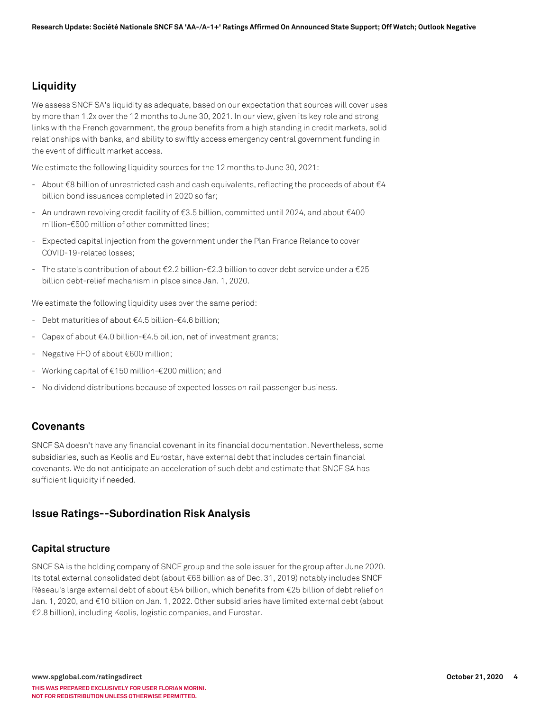### **Liquidity**

We assess SNCF SA's liquidity as adequate, based on our expectation that sources will cover uses by more than 1.2x over the 12 months to June 30, 2021. In our view, given its key role and strong links with the French government, the group benefits from a high standing in credit markets, solid relationships with banks, and ability to swiftly access emergency central government funding in the event of difficult market access.

We estimate the following liquidity sources for the 12 months to June 30, 2021:

- About €8 billion of unrestricted cash and cash equivalents, reflecting the proceeds of about €4 billion bond issuances completed in 2020 so far;
- An undrawn revolving credit facility of €3.5 billion, committed until 2024, and about €400 million-€500 million of other committed lines;
- Expected capital injection from the government under the Plan France Relance to cover COVID-19-related losses;
- The state's contribution of about €2.2 billion-€2.3 billion to cover debt service under a €25 billion debt-relief mechanism in place since Jan. 1, 2020.

We estimate the following liquidity uses over the same period:

- Debt maturities of about €4.5 billion-€4.6 billion;
- Capex of about  $\epsilon$ 4.0 billion- $\epsilon$ 4.5 billion, net of investment grants;
- Negative FFO of about €600 million;
- Working capital of €150 million-€200 million; and
- No dividend distributions because of expected losses on rail passenger business.

#### **Covenants**

SNCF SA doesn't have any financial covenant in its financial documentation. Nevertheless, some subsidiaries, such as Keolis and Eurostar, have external debt that includes certain financial covenants. We do not anticipate an acceleration of such debt and estimate that SNCF SA has sufficient liquidity if needed.

#### **Issue Ratings--Subordination Risk Analysis**

#### **Capital structure**

SNCF SA is the holding company of SNCF group and the sole issuer for the group after June 2020. Its total external consolidated debt (about €68 billion as of Dec. 31, 2019) notably includes SNCF Réseau's large external debt of about €54 billion, which benefits from €25 billion of debt relief on Jan. 1, 2020, and €10 billion on Jan. 1, 2022. Other subsidiaries have limited external debt (about €2.8 billion), including Keolis, logistic companies, and Eurostar.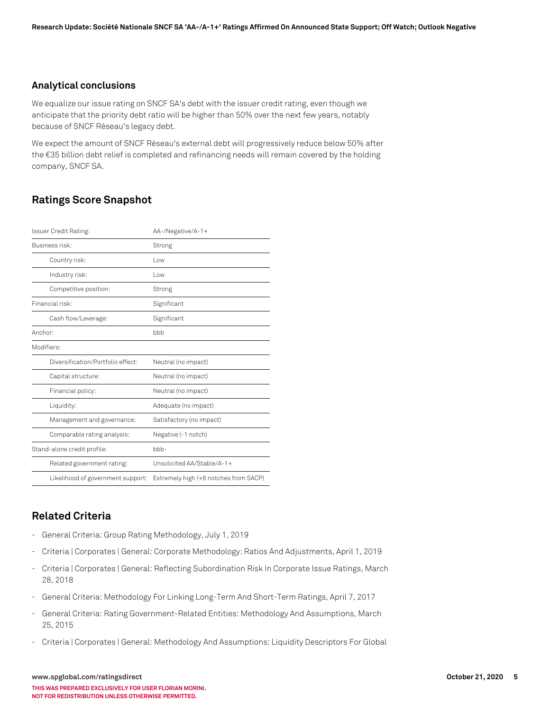#### **Analytical conclusions**

We equalize our issue rating on SNCF SA's debt with the issuer credit rating, even though we anticipate that the priority debt ratio will be higher than 50% over the next few years, notably because of SNCF Réseau's legacy debt.

We expect the amount of SNCF Réseau's external debt will progressively reduce below 50% after the €35 billion debt relief is completed and refinancing needs will remain covered by the holding company, SNCF SA.

#### **Ratings Score Snapshot**

| Issuer Credit Rating:             | AA-/Negative/A-1+                     |  |
|-----------------------------------|---------------------------------------|--|
| Business risk:                    | Strong                                |  |
| Country risk:                     | l ow                                  |  |
| Industry risk:                    | Low                                   |  |
| Competitive position:             | Strong                                |  |
| Financial risk:                   | Significant                           |  |
| Cash flow/Leverage:               | Significant                           |  |
| Anchor:                           | bbb                                   |  |
| Modifiers:                        |                                       |  |
| Diversification/Portfolio effect: | Neutral (no impact)                   |  |
| Capital structure:                | Neutral (no impact)                   |  |
| Financial policy:                 | Neutral (no impact)                   |  |
| Liquidity:                        | Adequate (no impact)                  |  |
| Management and governance:        | Satisfactory (no impact)              |  |
| Comparable rating analysis:       | Negative (-1 notch)                   |  |
| Stand-alone credit profile:       | $bbb-$                                |  |
| Related government rating:        | Unsolicited AA/Stable/A-1+            |  |
| Likelihood of government support: | Extremely high (+6 notches from SACP) |  |

#### **Related Criteria**

- General Criteria: Group Rating Methodology, July 1, 2019
- Criteria | Corporates | General: Corporate Methodology: Ratios And Adjustments, April 1, 2019
- Criteria | Corporates | General: Reflecting Subordination Risk In Corporate Issue Ratings, March 28, 2018
- General Criteria: Methodology For Linking Long-Term And Short-Term Ratings, April 7, 2017
- General Criteria: Rating Government-Related Entities: Methodology And Assumptions, March 25, 2015
- Criteria | Corporates | General: Methodology And Assumptions: Liquidity Descriptors For Global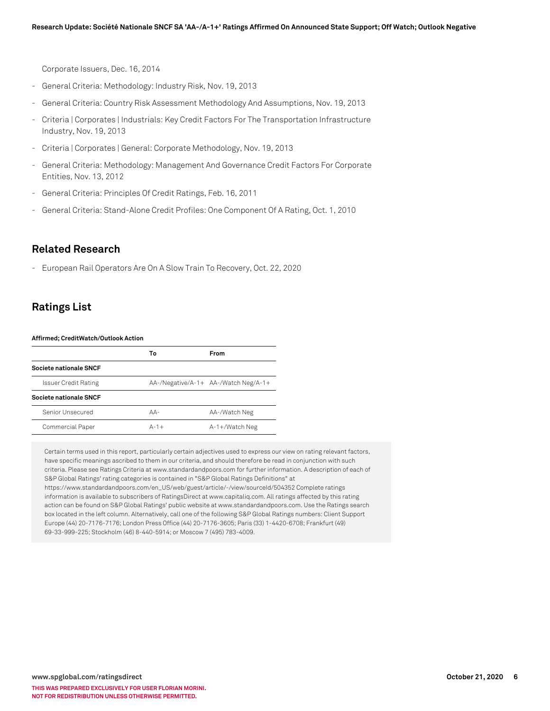Corporate Issuers, Dec. 16, 2014

- General Criteria: Methodology: Industry Risk, Nov. 19, 2013
- General Criteria: Country Risk Assessment Methodology And Assumptions, Nov. 19, 2013
- Criteria | Corporates | Industrials: Key Credit Factors For The Transportation Infrastructure Industry, Nov. 19, 2013
- Criteria | Corporates | General: Corporate Methodology, Nov. 19, 2013
- General Criteria: Methodology: Management And Governance Credit Factors For Corporate Entities, Nov. 13, 2012
- General Criteria: Principles Of Credit Ratings, Feb. 16, 2011
- General Criteria: Stand-Alone Credit Profiles: One Component Of A Rating, Oct. 1, 2010

#### **Related Research**

- European Rail Operators Are On A Slow Train To Recovery, Oct. 22, 2020

#### **Ratings List**

**Affirmed; CreditWatch/Outlook Action**

|                             | То             | <b>From</b>                          |
|-----------------------------|----------------|--------------------------------------|
| Societe nationale SNCF      |                |                                      |
| <b>Issuer Credit Rating</b> |                | AA-/Negative/A-1+ AA-/Watch Neg/A-1+ |
| Societe nationale SNCF      |                |                                      |
| Senior Unsecured            | $AA-$          | AA-/Watch Neg                        |
| Commercial Paper            | $\Delta - 1 +$ | $A-1+$ /Watch Neg                    |

Certain terms used in this report, particularly certain adjectives used to express our view on rating relevant factors, have specific meanings ascribed to them in our criteria, and should therefore be read in conjunction with such criteria. Please see Ratings Criteria at www.standardandpoors.com for further information. A description of each of S&P Global Ratings' rating categories is contained in "S&P Global Ratings Definitions" at https://www.standardandpoors.com/en\_US/web/guest/article/-/view/sourceId/504352 Complete ratings information is available to subscribers of RatingsDirect at www.capitaliq.com. All ratings affected by this rating action can be found on S&P Global Ratings' public website at www.standardandpoors.com. Use the Ratings search box located in the left column. Alternatively, call one of the following S&P Global Ratings numbers: Client Support Europe (44) 20-7176-7176; London Press Office (44) 20-7176-3605; Paris (33) 1-4420-6708; Frankfurt (49) 69-33-999-225; Stockholm (46) 8-440-5914; or Moscow 7 (495) 783-4009.